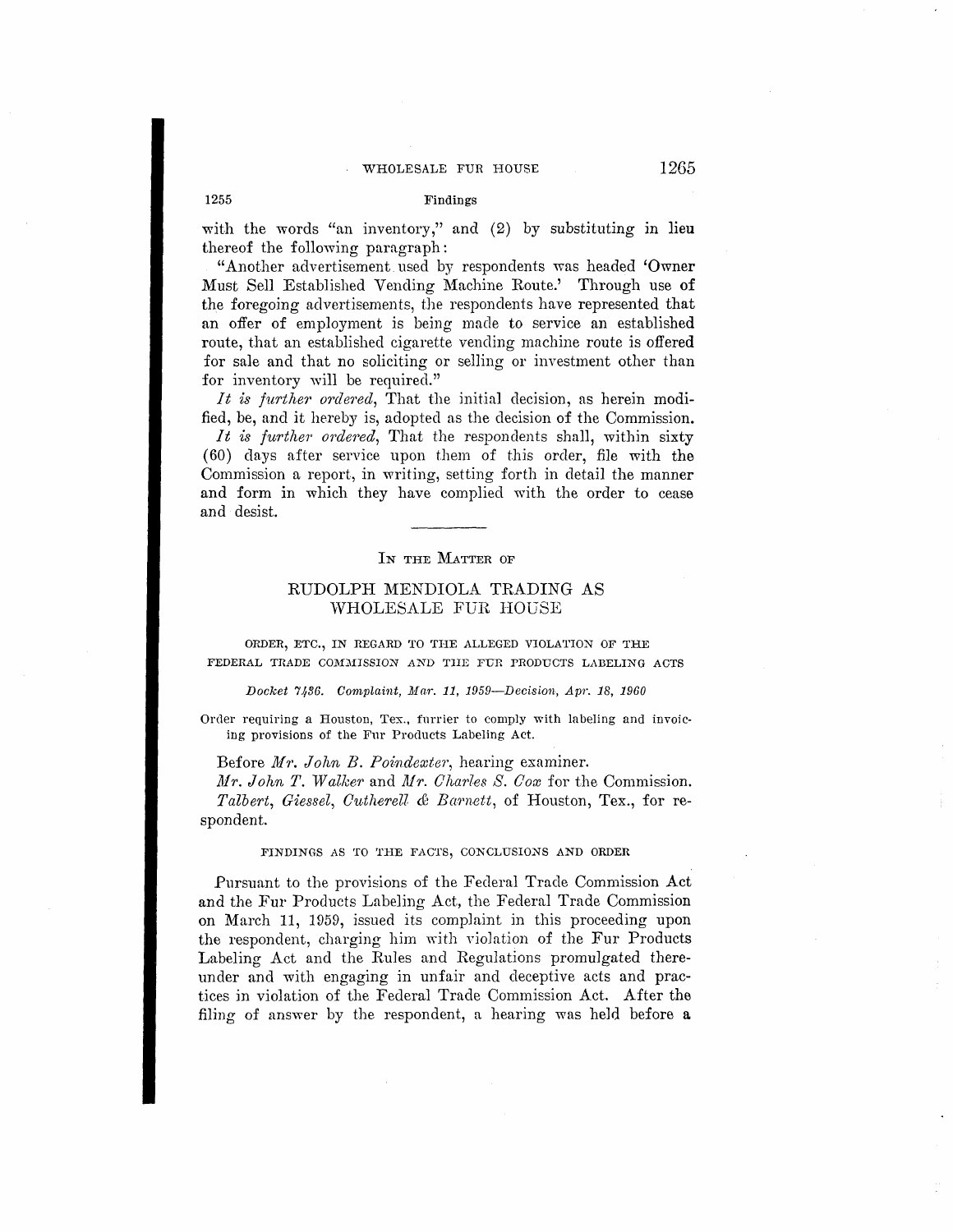# WHOLESALE FUR HOUSE 1265

### 1255 Findings

with the words "an inventory," and  $(2)$  by substituting in lieu thereof the following paragraph:

"Another advertisement used by respondents was headed 'Owner Must Sell Established Vending Machine Route.' Through use **of**  the foregoing advertisements, the respondents have represented that an offer of employment is being made to service an established route, that an established cigarette vending machine route is offered for sale and that no soliciting or selling or investment other than for inventory will be required."

*It is further ordered*, That the initial decision, as herein modified, be, and it hereby is, adopted as the decision of the Commission.

*It is further ordered*, That the respondents shall, within sixty (60) days after service upon them of this order, file with the Commission a report, in writing, setting forth in detail the manner and form in which they have complied with the order to cease and desist.

#### IN THE MATTER OF

# RUDOLPH MENDIOLA TRADING AS WHOLESALE FUR HOuSE

ORDER, ETC., IN REGARD TO THE ALLEGED VIOLATION OF THE FEDERAL TRADE COMMISSION AND THE FUR PRODUCTS LABELING ACTS

Docket 7436. Complaint, Mar. 11, 1959-Decision, Apr. 18, 1960

Order requiring a Houston, Tex., furrier to comply with labeling and invoicing provisions of the Fur Products Labeling Act.

Before Mr. *John B. Poindexter*, hearing examiner.

*Mr. John T. Walker and Mr. Charles S. Cox* for the Commission. Talbert, Giessel, Cutherell & Barnett, of Houston, Tex., for respondent.

### **FINDINGS AS TO THE FACTS, CONCLUSIONS AND ORDER**

Pursuant to the provisions of the Federal Trade Commission Act and the Fur Products Labeling Act, the Federal Trade Commission **on** March 11, 1959, issued its complaint in this proceeding upon the respondent, charging him with violation of the Fur Products Labeling Act and the Rules and Regulations promulgated thereunder and with engaging in unfair and deceptive acts and practices in violation of the Federal Trade Commission Act. After the filing of answer by the respondent, a hearing was held before a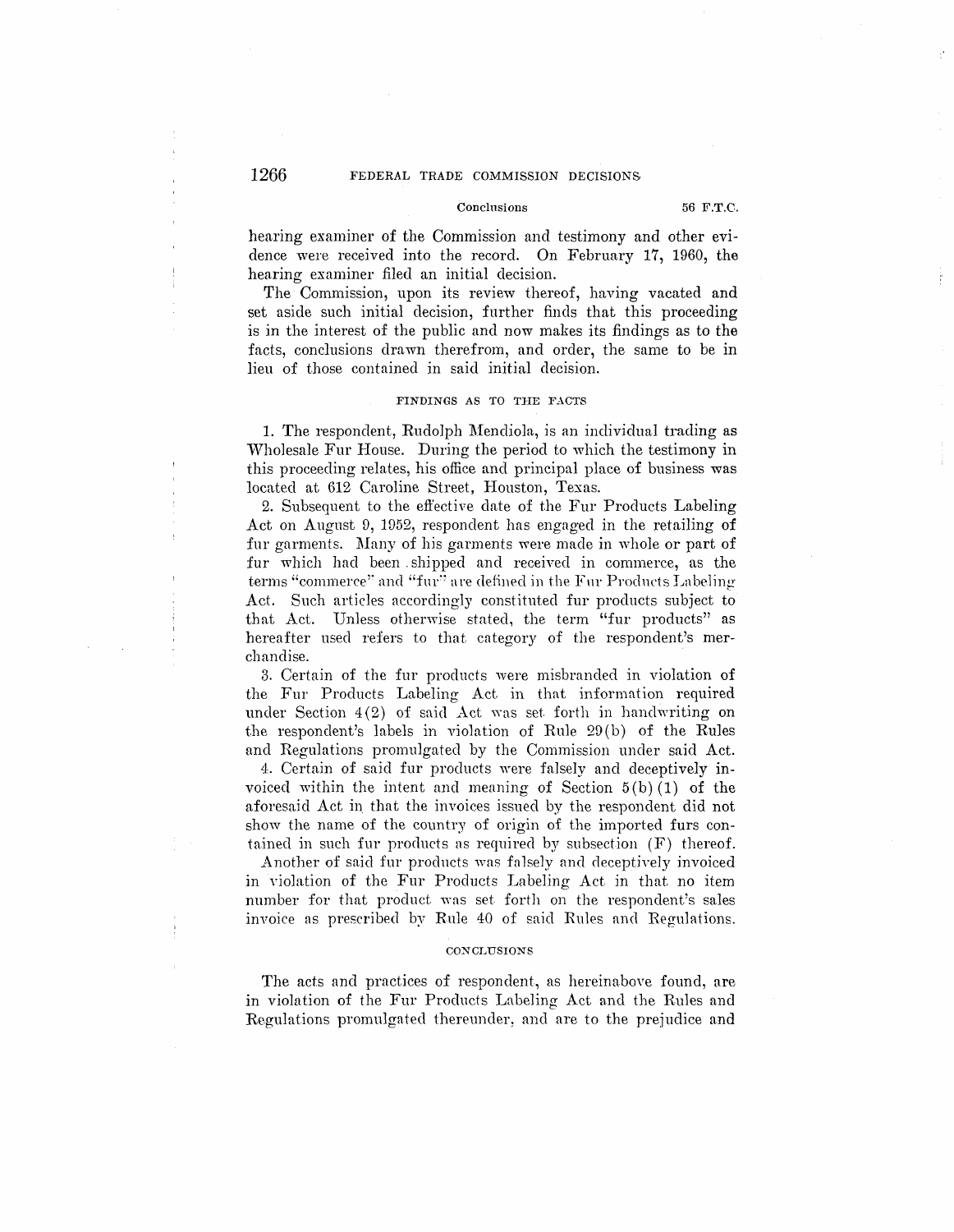# 1266 FEDERAL TRADE COMMISSION DECISIONS

### Conclnsions 56 F.T.C.

hearing examiner of the Commission and testimony and other evidence were received into the record. On February 17, 1960, the hearing examiner filed an initial decision.

The Commission, upon its review thereof, having vacated and set aside such initial decision, further finds that this proceeding is in the interest of the public and now makes its findings as to the facts, conclusions drawn therefrom, and order, the same to be in lieu of those contained in said initial decision.

# **FINDINGS AS TO THE FACTS**

1. The respondent, Rudolph Mendiola, is an individual trading as Wholesale Fur House. During the period to which the testimony in this proceeding relates, his office and principal place of business was located at 612 Caroline Street, Houston, Texas.

2. Subsequent to the effective date of the Fur Products Labeling Act on August 9, 1952, respondent has engaged in the retailing **of**  fur garments. Many of his garments were made in whole or part of fur which had been shipped and received in commerce, as the terms "commerce" and "fur" are defined in the Fur Products Labeling Act. Such articles accordingly constituted fur products subject to that Act. Unless otherwise stated, the term "fur products" as hereafter used refers to that category of the respondent's merchandise.

3. Certain of the fur products were misbranded in violation of the Fur Products Labeling Act in that information required under Section  $4(2)$  of said  $\overline{\text{Act}}$  was set forth in handwriting on the respondent's labels in violation of Rule  $29(b)$  of the Rules and Regulations promulgated by the Commission under said Act.

4. Certain of said fur products were falsely and deceptively invoiced within the intent and meaning of Section  $5(b)(1)$  of the aforesaid Act in that the invoices issued by the respondent did not show the name of the country of origin of the imported furs contained in such fur products as required by subsection (F) thereof.

Another of said fur products was false]y and deceptively invoiced in violation of the Fur Products Labeling Act in that no item number for that product was set forth on the respondent's sales invoice as prescribed by Rule 40 of said Rules and Regulations.

### **CONCLUSIONS**

The acts and practices of respondent, as hereinabove found, are in violation of the Fur Products Labeling Act and the Rules and Regulations promulgated thereunder, and are to the prejudice and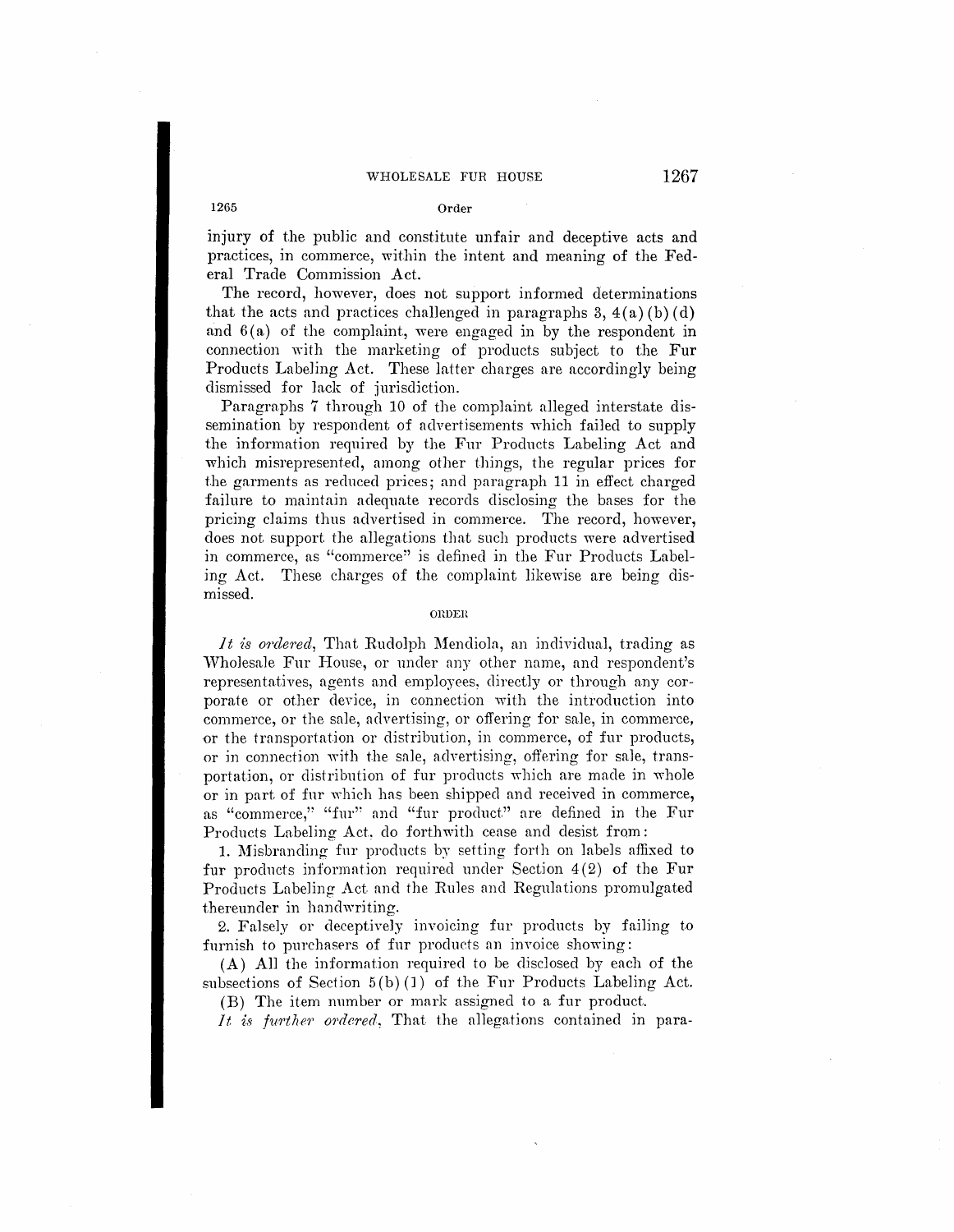# WHOLESALE FUR HOUSE 1267

# 1265 **Order**

injury of the public and constitute unfair and deceptive acts and practices, in commerce, within the intent and meaning of the Federal Trade Commission Act.

The record, however, does not support informed determinations that the acts and practices challenged in paragraphs  $3, 4(a)$  (b) (d) and  $6(a)$  of the complaint, were engaged in by the respondent in connection with the marketing of products subject to the **Fur**  Products Labeling Act. These latter charges are accordingly being dismissed for Jack of jurisdiction.

Paragraphs 7 through 10 of the complaint alleged interstate dissemination by respondent of advertisements which failed to supply the information required by the Fur Products Labeling Act and which misrepresented, among other things, the regular prices for the garments as reduced prices; and paragraph 11 in effect charged failure to maintain adequate records disclosing the bases for the pricing claims thus advertised in commerce. The record, however, does not support the allegations that such products were advertised in commerce, as "commerce'' is defined in the Fur Products Labeling Act. These charges of the complaint likewise are being dismissed.

### **OllDEH**

*It is ordered*, That Rudolph Mendiola, an individual, trading as Wholesale Fur House, or under any other name, and respondent's representatives, agents and employees, directly or through any corporate or other device, in connection with the introduction into commerce, or the sale, advertising, or offering for sale, in commerce, or the transportation or distribution, in commerce, of fur products, or in connection with the sale, advertising, offering for sale, transportation, or distribution of fur products which are made in whole or in part of fnr which has been shipped and received in commerce, as "commerce," "fur" and "fur product" are defined in the Fur Products Labeling Act, do forthwith cease and desist from:

1. Misbranding fur products by setting forth on labels affixed to fur products information required under Section  $4(2)$  of the Fur Products Labeling Act and the Rules and Regulations promulgated thereunder in handwriting.

2. Falsely or deceptively invoicing fur products by failing to furnish to purchasers of fur products an invoice showing:

**(A) All** the information required to be disclosed by each of the subsections of Section 5(b) (1) of the Fur Products Labeling Act.

(B) The item number or mark assigned to a fur product.

*It is further ordered,* That the a11egations contained in para-